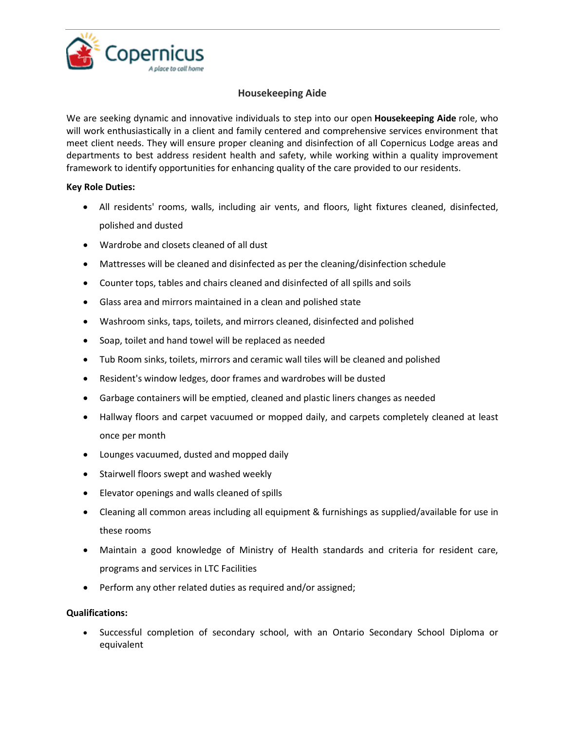

## **Housekeeping Aide**

We are seeking dynamic and innovative individuals to step into our open **Housekeeping Aide** role, who will work enthusiastically in a client and family centered and comprehensive services environment that meet client needs. They will ensure proper cleaning and disinfection of all Copernicus Lodge areas and departments to best address resident health and safety, while working within a quality improvement framework to identify opportunities for enhancing quality of the care provided to our residents.

## **Key Role Duties:**

- All residents' rooms, walls, including air vents, and floors, light fixtures cleaned, disinfected, polished and dusted
- Wardrobe and closets cleaned of all dust
- Mattresses will be cleaned and disinfected as per the cleaning/disinfection schedule
- Counter tops, tables and chairs cleaned and disinfected of all spills and soils
- Glass area and mirrors maintained in a clean and polished state
- Washroom sinks, taps, toilets, and mirrors cleaned, disinfected and polished
- Soap, toilet and hand towel will be replaced as needed
- Tub Room sinks, toilets, mirrors and ceramic wall tiles will be cleaned and polished
- Resident's window ledges, door frames and wardrobes will be dusted
- Garbage containers will be emptied, cleaned and plastic liners changes as needed
- Hallway floors and carpet vacuumed or mopped daily, and carpets completely cleaned at least once per month
- Lounges vacuumed, dusted and mopped daily
- Stairwell floors swept and washed weekly
- Elevator openings and walls cleaned of spills
- Cleaning all common areas including all equipment & furnishings as supplied/available for use in these rooms
- Maintain a good knowledge of Ministry of Health standards and criteria for resident care, programs and services in LTC Facilities
- Perform any other related duties as required and/or assigned;

## **Qualifications:**

 Successful completion of secondary school, with an Ontario Secondary School Diploma or equivalent